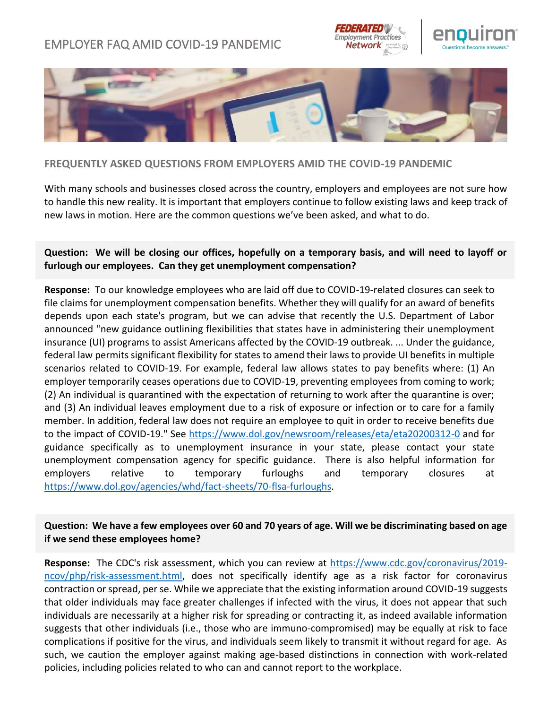# EMPLOYER FAQ AMID COVID-19 PANDEMIC







# **FREQUENTLY ASKED QUESTIONS FROM EMPLOYERS AMID THE COVID-19 PANDEMIC**

With many schools and businesses closed across the country, employers and employees are not sure how to handle this new reality. It is important that employers continue to follow existing laws and keep track of new laws in motion. Here are the common questions we've been asked, and what to do.

# **Question: We will be closing our offices, hopefully on a temporary basis, and will need to layoff or furlough our employees. Can they get unemployment compensation?**

**Response:** To our knowledge employees who are laid off due to COVID-19-related closures can seek to file claims for unemployment compensation benefits. Whether they will qualify for an award of benefits depends upon each state's program, but we can advise that recently the U.S. Department of Labor announced "new guidance outlining flexibilities that states have in administering their unemployment insurance (UI) programs to assist Americans affected by the COVID-19 outbreak. ... Under the guidance, federal law permits significant flexibility for states to amend their laws to provide UI benefits in multiple scenarios related to COVID-19. For example, federal law allows states to pay benefits where: (1) An employer temporarily ceases operations due to COVID-19, preventing employees from coming to work; (2) An individual is quarantined with the expectation of returning to work after the quarantine is over; and (3) An individual leaves employment due to a risk of exposure or infection or to care for a family member. In addition, federal law does not require an employee to quit in order to receive benefits due to the impact of COVID-19." See<https://www.dol.gov/newsroom/releases/eta/eta20200312-0> and for guidance specifically as to unemployment insurance in your state, please contact your state unemployment compensation agency for specific guidance. There is also helpful information for employers relative to temporary furloughs and temporary closures at [https://www.dol.gov/agencies/whd/fact-sheets/70-flsa-furloughs.](https://www.dol.gov/agencies/whd/fact-sheets/70-flsa-furloughs)

# **Question: We have a few employees over 60 and 70 years of age. Will we be discriminating based on age if we send these employees home?**

**Response:** The CDC's risk assessment, which you can review at [https://www.cdc.gov/coronavirus/2019](https://www.cdc.gov/coronavirus/2019-ncov/php/risk-assessment.html) [ncov/php/risk-assessment.html,](https://www.cdc.gov/coronavirus/2019-ncov/php/risk-assessment.html) does not specifically identify age as a risk factor for coronavirus contraction or spread, per se. While we appreciate that the existing information around COVID-19 suggests that older individuals may face greater challenges if infected with the virus, it does not appear that such individuals are necessarily at a higher risk for spreading or contracting it, as indeed available information suggests that other individuals (i.e., those who are immuno-compromised) may be equally at risk to face complications if positive for the virus, and individuals seem likely to transmit it without regard for age. As such, we caution the employer against making age-based distinctions in connection with work-related policies, including policies related to who can and cannot report to the workplace.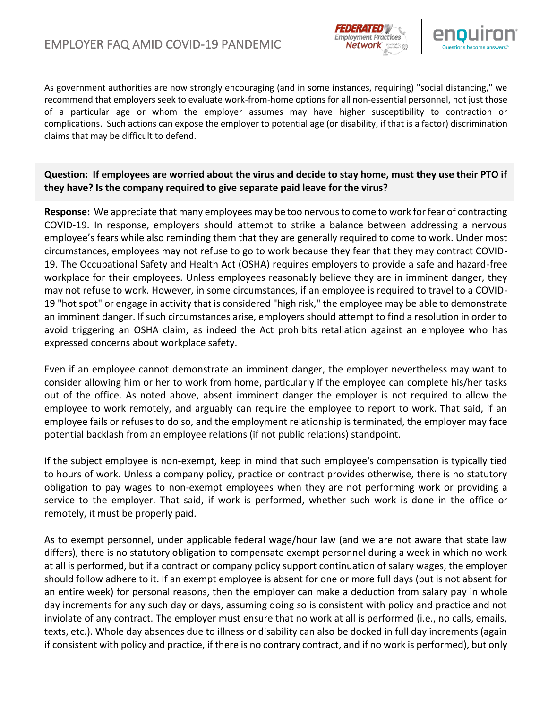



As government authorities are now strongly encouraging (and in some instances, requiring) "social distancing," we recommend that employers seek to evaluate work-from-home options for all non-essential personnel, not just those of a particular age or whom the employer assumes may have higher susceptibility to contraction or complications. Such actions can expose the employer to potential age (or disability, if that is a factor) discrimination claims that may be difficult to defend.

**Question: If employees are worried about the virus and decide to stay home, must they use their PTO if they have? Is the company required to give separate paid leave for the virus?**

**Response:** We appreciate that many employees may be too nervous to come to work for fear of contracting COVID-19. In response, employers should attempt to strike a balance between addressing a nervous employee's fears while also reminding them that they are generally required to come to work. Under most circumstances, employees may not refuse to go to work because they fear that they may contract COVID-19. The Occupational Safety and Health Act (OSHA) requires employers to provide a safe and hazard-free workplace for their employees. Unless employees reasonably believe they are in imminent danger, they may not refuse to work. However, in some circumstances, if an employee is required to travel to a COVID-19 "hot spot" or engage in activity that is considered "high risk," the employee may be able to demonstrate an imminent danger. If such circumstances arise, employers should attempt to find a resolution in order to avoid triggering an OSHA claim, as indeed the Act prohibits retaliation against an employee who has expressed concerns about workplace safety.

Even if an employee cannot demonstrate an imminent danger, the employer nevertheless may want to consider allowing him or her to work from home, particularly if the employee can complete his/her tasks out of the office. As noted above, absent imminent danger the employer is not required to allow the employee to work remotely, and arguably can require the employee to report to work. That said, if an employee fails or refuses to do so, and the employment relationship is terminated, the employer may face potential backlash from an employee relations (if not public relations) standpoint.

If the subject employee is non-exempt, keep in mind that such employee's compensation is typically tied to hours of work. Unless a company policy, practice or contract provides otherwise, there is no statutory obligation to pay wages to non-exempt employees when they are not performing work or providing a service to the employer. That said, if work is performed, whether such work is done in the office or remotely, it must be properly paid.

As to exempt personnel, under applicable federal wage/hour law (and we are not aware that state law differs), there is no statutory obligation to compensate exempt personnel during a week in which no work at all is performed, but if a contract or company policy support continuation of salary wages, the employer should follow adhere to it. If an exempt employee is absent for one or more full days (but is not absent for an entire week) for personal reasons, then the employer can make a deduction from salary pay in whole day increments for any such day or days, assuming doing so is consistent with policy and practice and not inviolate of any contract. The employer must ensure that no work at all is performed (i.e., no calls, emails, texts, etc.). Whole day absences due to illness or disability can also be docked in full day increments (again if consistent with policy and practice, if there is no contrary contract, and if no work is performed), but only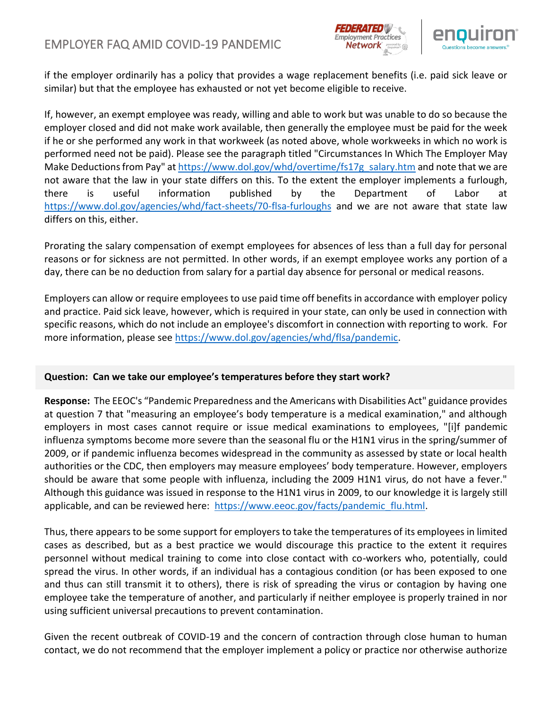



if the employer ordinarily has a policy that provides a wage replacement benefits (i.e. paid sick leave or similar) but that the employee has exhausted or not yet become eligible to receive.

If, however, an exempt employee was ready, willing and able to work but was unable to do so because the employer closed and did not make work available, then generally the employee must be paid for the week if he or she performed any work in that workweek (as noted above, whole workweeks in which no work is performed need not be paid). Please see the paragraph titled "Circumstances In Which The Employer May Make Deductions from Pay" at [https://www.dol.gov/whd/overtime/fs17g\\_salary.htm](https://www.dol.gov/whd/overtime/fs17g_salary.htm) and note that we are not aware that the law in your state differs on this. To the extent the employer implements a furlough, there is useful information published by the Department of Labor at <https://www.dol.gov/agencies/whd/fact-sheets/70-flsa-furloughs> and we are not aware that state law differs on this, either.

Prorating the salary compensation of exempt employees for absences of less than a full day for personal reasons or for sickness are not permitted. In other words, if an exempt employee works any portion of a day, there can be no deduction from salary for a partial day absence for personal or medical reasons.

Employers can allow or require employees to use paid time off benefits in accordance with employer policy and practice. Paid sick leave, however, which is required in your state, can only be used in connection with specific reasons, which do not include an employee's discomfort in connection with reporting to work. For more information, please see [https://www.dol.gov/agencies/whd/flsa/pandemic.](https://www.dol.gov/agencies/whd/flsa/pandemic)

### **Question: Can we take our employee's temperatures before they start work?**

**Response:** The EEOC's "Pandemic Preparedness and the Americans with Disabilities Act" guidance provides at question 7 that "measuring an employee's body temperature is a medical examination," and although employers in most cases cannot require or issue medical examinations to employees, "[i]f pandemic influenza symptoms become more severe than the seasonal flu or the H1N1 virus in the spring/summer of 2009, or if pandemic influenza becomes widespread in the community as assessed by state or local health authorities or the CDC, then employers may measure employees' body temperature. However, employers should be aware that some people with influenza, including the 2009 H1N1 virus, do not have a fever." Although this guidance was issued in response to the H1N1 virus in 2009, to our knowledge it is largely still applicable, and can be reviewed here: [https://www.eeoc.gov/facts/pandemic\\_flu.html.](https://www.eeoc.gov/facts/pandemic_flu.html)

Thus, there appears to be some support for employers to take the temperatures of its employees in limited cases as described, but as a best practice we would discourage this practice to the extent it requires personnel without medical training to come into close contact with co-workers who, potentially, could spread the virus. In other words, if an individual has a contagious condition (or has been exposed to one and thus can still transmit it to others), there is risk of spreading the virus or contagion by having one employee take the temperature of another, and particularly if neither employee is properly trained in nor using sufficient universal precautions to prevent contamination.

Given the recent outbreak of COVID-19 and the concern of contraction through close human to human contact, we do not recommend that the employer implement a policy or practice nor otherwise authorize